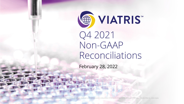

Q4 2021 Non-GAAP Reconciliations

February 28, 2022

Inc. Unauthorized use, duplication, dissemination or disclosure to third parties is strictly prohibited. © 2022 Viatris Inc. All Rights Reserved. VIATRIS and the Viatris Logo are trademarks of Mylan Inc., a Viatris company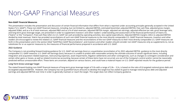# Non-GAAP Financial Measures

#### **Non-GAAP Financial Measures**

This presentation includes the presentation and discussion of certain financial information that differs from what is reported under accounting principles generally accepted in the United States ("U.S. GAAP"). These non-GAAP financial measures, including, but not limited to, adjusted EBITDA, estimated biosimilars adjusted EBITDA, free cash flow, adjusted gross margin. adjusted SG&A, and as a % of total revenues, adjusted R&D and as a % of total revenues, adjusted EBITDA margin, adjusted net earnings, adjusted effective tax rate, gross leverage ratio, and long-term gross leverage target, are presented in order to supplement investors' and other readers' understanding and assessment of the financial performance of Viatris Inc. ("Viatris" or the "Company"). Free cash flow refers to U.S. GAAP net cash provided by operating activities, less capital expenditures. Adjusted EBITDA margins refers to adjusted EBITDA divided by total revenues. Viatris has provided reconciliations of such non-GAAP financial measures to the most directly comparable U.S. GAAP financial measures. Investors and other readers are encouraged to review the related U.S. GAAP financial measures and the reconciliations of the non-GAAP measures to their most directly comparable U.S. GAAP measures set forth in this presentation and in the section titled "GAAP/Non-GAAP Reconciliations", and investors and other readers should consider non-GAAP measures only as supplements to, not as substitutes for or as superior measures to, the measures of financial performance prepared in accordance with U.S. GAAP.

#### **2022 Guidance**

The Company is not providing forward-looking guidance for U.S. GAAP net earnings (loss) or a quantitative reconciliation of its 2022 adjusted EBITDA guidance to the most directly comparable U.S. GAAP measure, U.S. GAAP net earnings (loss), because it is unable to predict with reasonable certainty the ultimate outcome of certain significant items, including integration and acquisition-related expenses, restructuring expenses, asset impairments, litigation settlements and other contingencies, such as changes to contingent consideration and certain other gains or losses, as well as related income tax accounting, because certain of these items have not occurred, are out of the Company's control and/or cannot be reasonably predicted without unreasonable effort. These items are uncertain, depend on various factors, and could have a material impact on U.S. GAAP reported results for the guidance period.

#### **Long-Term Gross Leverage Target**

The stated forward-looking non-GAAP financial measure of long-term gross leverage target of 3.0x with a range of 2.8x – 3.2x, is based on the ratio of (i) targeted notional gross debt and (ii) targeted adjusted EBITDA. However, the Company has not quantified future amounts to develop this target but has stated its goal to manage notional gross debt and adjusted earnings and adjusted EBITDA over time in order to generally maintain or reach the target. This target does not reflect Company guidance.

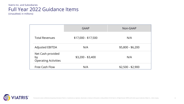### Viatris Inc. and Subsidiaries Full Year 2022 Guidance Items

(Unaudited; in millions)

|                                                        | <b>GAAP</b>         | Non-GAAP          |
|--------------------------------------------------------|---------------------|-------------------|
| <b>Total Revenues</b>                                  | \$17,000 - \$17,500 | N/A               |
| <b>Adjusted EBITDA</b>                                 | N/A                 | \$5,800 - \$6,200 |
| Net Cash provided<br>by<br><b>Operating Activities</b> | $$3,200 - $3,400$   | N/A               |
| <b>Free Cash Flow</b>                                  | N/A                 | $$2,500 - $2,900$ |

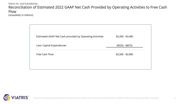#### Viatris Inc. and Subsidiaries Reconciliation of Estimated 2022 GAAP Net Cash Provided by Operating Activities to Free Cash Flow (Unaudited; in millions)

| Estimated GAAP Net Cash provided by Operating Activities | $$3,200 - $3,400$ |
|----------------------------------------------------------|-------------------|
| Less: Capital Expenditures                               | $($525) - ($675)$ |
| Free Cash Flow                                           | $$2,500 - $2,900$ |

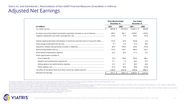## Adjusted Net Earnings

|                                                                                       | <b>Three Months Ended</b><br>December 31. |              | <b>Year Ended</b><br>December 31, |         |
|---------------------------------------------------------------------------------------|-------------------------------------------|--------------|-----------------------------------|---------|
| (in millions)                                                                         | 2021                                      | 2020         | 2021                              | 2020    |
|                                                                                       | $(263.8)$ \$                              | $(915.8)$ \$ | $(1,269.1)$ \$                    | (669.9) |
| Purchase accounting related amortization (primarily included in cost of sales) (a)    | 695.0                                     | 861.1        | 4.039.7                           | 1.933.6 |
|                                                                                       | 273.9                                     | 71.3         | 329.2                             | 107.8   |
| Interest expense (primarily amortization of premiums and discounts on long term debt) | (13.5)                                    | (4.0)        | (53.8)                            | 12.6    |
|                                                                                       | 9.7                                       | 11.0         | 61.9                              | 48.4    |
|                                                                                       | 84.9                                      | 395.4        | 234.6                             | 613.6   |
|                                                                                       | 157.8                                     | 276.1        | 899.4                             | 323.1   |
| Share-based compensation expense                                                      | 22.5                                      | 29.4         | 111.2                             | 79.2    |
| Other special items included in:                                                      |                                           |              |                                   |         |
|                                                                                       | 75.9                                      | 138.8        | 333.0                             | 438.1   |
|                                                                                       | 71.1                                      | 1.4          | 83.2                              | 47.2    |
|                                                                                       | 10.1                                      | 31.7         | 49.5                              | 44.6    |
|                                                                                       | (5.7)                                     | (0.4)        | (8.0)                             | (16.8)  |
|                                                                                       | (146.2)                                   | (245.4)      | (343.0)                           | (589.7) |
|                                                                                       | $971.7$ \$                                | $650.6$ \$   | 4,467.8 \$                        | 2,371.8 |

(a) Includes amortization of the purchase accounting inventory fair value adjustment related to the Combination totaling approximately \$1.19 billion for the year ended December 31, 2021.

(b) Acquisition related costs consist primarily of transaction costs including legal and consulting fees and integration activities.

(c) For the three months ended December 31, 2021, charges of approximately \$135.2 million are included in cost of sales, approximately \$1.4 million are included in R&D, and approximately \$21.4 million are included in SG&A. \$534.7 million are included in cost of sales, approximately \$13.3 million are included in R&D, and approximately \$351.5 million are included in SG&A.

(d) Costs incurred during the three months and year ended December 31, 2021 include incremental manufacturing variances and site remediation activities as a result of the activities at the Company's Morgantown plant of app plants in the 2020 restructuring program of approximately \$39.8 million and \$143.3 million, respectively.

(e) Adjustments primarily relate to non-refundable payments related to development collaboration agreements.

(f) Adjusted for changes for uncertain tax positions and for certain impacts of the Combination.

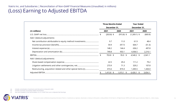### Viatris Inc. and Subsidiaries | Reconciliation of Non-GAAP Financial Measures (Unaudited; in millions) (Loss) Earning to Adjusted EBITDA

|                             | <b>Three Months Ended</b><br>December 31, |              | <b>Year Ended</b><br>December 31, |         |
|-----------------------------|-------------------------------------------|--------------|-----------------------------------|---------|
| (In millions)               | 2021                                      | 2020         | 2021                              | 2020    |
|                             | $(263.8)$ \$                              | $(915.8)$ \$ | $(1,269.1)$ \$                    | (669.9) |
| Add / (deduct) adjustments: |                                           |              |                                   |         |
|                             | 9.7                                       | 11.0         | 61.9                              | 48.4    |
|                             | 59.9                                      | (97.7)       | 604.7                             | (51.3)  |
|                             | 148.2                                     | 144.4        | 636.2                             | 497.8   |
|                             | 749.8                                     | 953.1        | 4,506.5                           | 2,216.1 |
|                             | 703.8 \$                                  | $95.0$ \$    | 4,540.2 \$                        | 2,041.1 |
| Add / (deduct) adjustments: |                                           |              |                                   |         |
|                             | 22.5                                      | 29.4         | 111.2                             | 79.2    |
|                             | 273.9                                     | 71.3         | 329.2                             | 107.8   |
|                             | 415.6                                     | 819.4        | 1,445.5                           | 1,426.0 |
|                             | $1,415.8$ \$                              | $1,015.1$ \$ | $6,426.1$ \$                      | 3,654.1 |

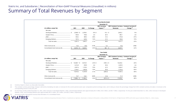|                                   |              |          |          | <b>Three Months Ended</b>     |                                                        |                       |
|-----------------------------------|--------------|----------|----------|-------------------------------|--------------------------------------------------------|-----------------------|
|                                   |              |          |          | December 31                   |                                                        |                       |
| (In millions, except %s)          | 2021         | 2020     | % Change | 2021 Currency<br>Impact $(1)$ | 2021 Constant Currency Constant Currency %<br>Revenues | Change <sup>(2)</sup> |
| Net sales                         |              |          |          |                               |                                                        |                       |
|                                   | 2,560.8 \$   | 2,378.6  | 8 % \$   | 41.4 \$                       | 2,602.2                                                | 9%                    |
|                                   | 503.8        | 190.6    | nm       | (8.7)                         | 495.1                                                  | nm                    |
|                                   | 539.2        | 389.5    | 38 %     | 31.6                          | 570.8                                                  | 47 %                  |
|                                   | 727.5        | 629.0    | 16 %     | 21.5                          | 749.0                                                  | 19%                   |
|                                   | 4,331.3      | 3,587.7  | 21 %     | 85.8                          | 4,417.1                                                | 23 %                  |
|                                   | 10.3         | 35.8     | (71)%    | 0.3                           | 10.6                                                   | (70)%                 |
| Consolidated total revenues (4)\$ | $4,341.6$ \$ | 3,623.5  | 20 % \$  | $86.1$ \$                     | 4,427.7                                                | 22 %                  |
|                                   |              |          |          |                               |                                                        |                       |
|                                   |              |          |          | <b>Year Ended</b>             |                                                        |                       |
|                                   |              |          |          | December 31,                  |                                                        |                       |
|                                   |              |          |          | 2021 Currency                 | 2021 Constant Currency Constant Currency %             |                       |
| (In millions, except %s)          | 2021         | 2020     | % Change | Impact $(1)$                  | Revenues                                               | Change $(2)$          |
| Net sales                         |              |          |          |                               |                                                        |                       |
|                                   | 10,428.7 \$  | 8,510.9  | 23 % \$  | $(185.1)$ \$                  | 10,243.6                                               | 20 %                  |
|                                   | 2,212.8      | 259.9    | nm       | (9.3)                         | 2,203.5                                                | nm                    |
|                                   | 2,027.4      | 1,195.3  | 70 %     | (2.7)                         | 2,024.7                                                | 69%                   |
|                                   | 3,144.7      | 1,853.8  | 70 %     | (9.3)                         | 3,135.4                                                | 69%                   |
|                                   | 17,813.6     | 11,819.9 | 51 %     | (206.4)                       | 17,607.2                                               | 49 %                  |
|                                   | 72.7         | 126.1    | (42)%    | (1.0)                         | 71.7                                                   | (43)%                 |

(1) Currency impact is shown as unfavorable (favorable).

(2) The constant currency percentage change is derived by translating net sales or revenues for the current period at prior year comparative period exchange rates, and in doing so shows the percentage change from 2021 cons corresponding amount in the prior year.

(3) For the three months ended December 31, 2021, other revenues in Developed Markets, JANZ, and Emerging Markets were approximately \$4.4 million, \$0.2 million, and \$5.7 million, respectively. For the year ended December 3 Markets, JANZ, and Emerging Markets were approximately \$51.0 million, \$1.5 million, and \$20.2 million, respectively.

Amounts exclude intersegment revenue that eliminates on a consolidated basis.

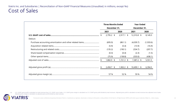|         | <b>Three Months Ended</b><br>December 31, |               | <b>Year Ended</b><br>December 31, |           |
|---------|-------------------------------------------|---------------|-----------------------------------|-----------|
|         | 2021                                      | 2020          | 2021                              | 2020      |
|         | $2,795.2$ \$                              | 2,917.1<br>\$ | 12,310.8 \$                       | 8,149.3   |
| Deduct: |                                           |               |                                   |           |
|         | (695.0)                                   | (861.1)       | (4,039.7)                         | (1,933.6) |
|         | (5.9)                                     | (5.4)         | (13.9)                            | (16.9)    |
|         | (135.2)                                   | (190.1)       | (534.7)                           | (207.7)   |
|         | (0.3)                                     | (0.4)         | (2.3)                             | (1.5)     |
|         | (75.9)                                    | (138.8)       | (333.0)                           | (438.1)   |
|         | \$<br>1,882.9 \$                          | $1,721.3$ \$  | 7,387.2 \$                        | 5,551.5   |
|         | $2,458.7$ \$                              | $1,902.2$ \$  | 10,499.1 \$                       | 6,394.5   |
|         | 57 %                                      | 52 %          | 59 %                              | 54 %      |

(a) U.S. GAAP gross profit is calculated as total revenues less U.S. GAAP cost of sales. U.S. GAAP gross margin is calculated as U.S. GAAP gross profit divided by total revenues. Adjusted gross profit is calculated as tota Adjusted gross margin is calculated as adjusted gross profit divided by total revenues.

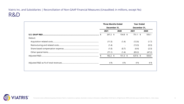Viatris Inc. and Subsidiaries | Reconciliation of Non-GAAP Financial Measures (Unaudited; in millions, except %s) R&D

|         | <b>Three Months Ended</b> |            | <b>Year Ended</b> |        |
|---------|---------------------------|------------|-------------------|--------|
|         | December 31,              |            | December 31,      |        |
|         | 2021                      | 2020       | 2021              | 2020   |
|         | $267.2$ \$                | $154.8$ \$ | $751.1$ \$        | 555.1  |
| Deduct: |                           |            |                   |        |
|         | (11.5)                    | (1.4)      | (12.6)            | (1.7)  |
|         | (1.4)                     |            | (13.3)            | (0.3)  |
|         | (1.0)                     | (0.7)      | (4.4)             | (2.3)  |
|         | (71.1)                    | (1.4)      | (83.2)            | (47.2) |
|         | $182.2$ \$                | $151.3$ \$ | 637.6 \$          | 503.6  |
|         | 4 %                       | 4 %        | 4 %               | 4 %    |

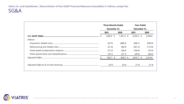|         | <b>Three Months Ended</b><br>December 31, |              | <b>Year Ended</b><br>December 31, |         |
|---------|-------------------------------------------|--------------|-----------------------------------|---------|
|         | 2021                                      | 2020         | 2021                              | 2020    |
|         | $1,082.9$ \$                              | $1,361.4$ \$ | $4,529.2$ \$                      | 3,344.6 |
| Deduct: |                                           |              |                                   |         |
|         | (67.5)                                    | (388.5)      | (208.1)                           | (595.0) |
|         | (21.4)                                    | (86.0)       | (351.5)                           | (115.0) |
|         | (21.2)                                    | (28.3)       | (104.4)                           | (75.4)  |
|         | (10.1)                                    | (31.7)       | (49.5)                            | (44.6)  |
|         | $962.7$ \$                                | $826.9$ \$   | $3,815.7$ \$                      | 2,514.6 |
|         | 22 %                                      | 23 %         | 21 %                              | 21 %    |

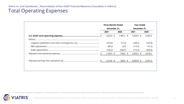| December 31,<br>December 31,<br>2020<br>2021<br>2021<br>$1,587.5$ \$<br>$1,624.0$ \$<br>$5,609.5$ \$<br>(273.9)<br>(71.3)<br>(329.2)<br>(85.0)<br>(3.5)<br>(113.5)<br>(120.2)<br>(534.5)<br>(713.5)<br>$1,144.9$ \$<br>978.2 \$<br>4,453.3 \$<br>$1,313.8$ \$<br>$924.0$ \$<br>$6,045.8$ \$ |  | <b>Three Months Ended</b> | <b>Year Ended</b> |         |
|---------------------------------------------------------------------------------------------------------------------------------------------------------------------------------------------------------------------------------------------------------------------------------------------|--|---------------------------|-------------------|---------|
|                                                                                                                                                                                                                                                                                             |  |                           |                   |         |
|                                                                                                                                                                                                                                                                                             |  |                           |                   | 2020    |
|                                                                                                                                                                                                                                                                                             |  |                           |                   | 4,007.5 |
|                                                                                                                                                                                                                                                                                             |  |                           |                   |         |
|                                                                                                                                                                                                                                                                                             |  |                           |                   | (107.8) |
|                                                                                                                                                                                                                                                                                             |  |                           |                   | (51.5)  |
|                                                                                                                                                                                                                                                                                             |  |                           |                   | (830.0) |
|                                                                                                                                                                                                                                                                                             |  |                           |                   | 3,018.2 |
|                                                                                                                                                                                                                                                                                             |  |                           |                   | 3,376.3 |
|                                                                                                                                                                                                                                                                                             |  |                           |                   |         |
|                                                                                                                                                                                                                                                                                             |  |                           |                   |         |

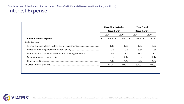|                                                          | <b>Three Months Ended</b> |                     | <b>Year Ended</b> |        |  |
|----------------------------------------------------------|---------------------------|---------------------|-------------------|--------|--|
|                                                          | December 31,              |                     | December 31,      |        |  |
|                                                          | 2021                      | 2020                | 2021              | 2020   |  |
|                                                          | $148.2 \text{ }$          | $144.4 \text{ }$ \$ | $636.2$ \$        | 497.8  |  |
| Add / (Deduct):                                          |                           |                     |                   |        |  |
|                                                          | (0.1)                     | (0.2)               | (0.5)             | (3.2)  |  |
|                                                          | (2.2)                     | (2.9)               | (9.5)             | (12.3) |  |
| Amortization of premiums and discounts on long-term debt | 16.9                      | 8.4                 | 68.5              | 8.4    |  |
|                                                          |                           | (0.1)               |                   | (0.1)  |  |
|                                                          | (1.1)                     | (1.4)               | (4.7)             | (5.6)  |  |
|                                                          | $161.7$ \$                | $148.2 \;$ \$       | $690.0 \;$ \$     | 485.0  |  |

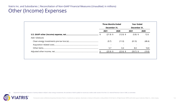|                 | <b>Three Months Ended</b> |             | <b>Year Ended</b><br>2021<br>$(5.8)$ \$<br>(61.9) |        |  |
|-----------------|---------------------------|-------------|---------------------------------------------------|--------|--|
|                 | December 31,              |             | December 31,                                      |        |  |
|                 | 2021                      | 2020        |                                                   | 2020   |  |
|                 | $(21.9)$ \$               | $(12.0)$ \$ |                                                   | 12.6   |  |
| Add / (Deduct): |                           |             |                                                   |        |  |
|                 | (9.7)                     | (11.0)      |                                                   | (48.4) |  |
|                 |                           |             |                                                   |        |  |
|                 | 5.7                       | 0.4         | 8.0                                               | 16.8   |  |
|                 | $(25.9)$ \$               | $(22.6)$ \$ | $(59.7)$ \$                                       | (19.0) |  |

(a) Adjustment represents exclusion of activity related to Mylan's clean energy investments, the activities of which qualify for income tax credits under section 45 of the U.S. Internal Revenue Code of 1986, as amended.

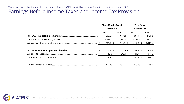|    | <b>Three Months Ended</b> |                | <b>Year Ended</b> |         |
|----|---------------------------|----------------|-------------------|---------|
|    | December 31,              |                | December 31,      |         |
|    | 2021                      | 2020           | 2021              | 2020    |
| \$ | $(203.9)$ \$              | $(1,013.5)$ \$ | $(664.4)$ \$      | (721.2) |
|    | 1,381.8                   | 1,811.8        | 6,079.9           | 3,631.4 |
|    | 1,177.9 \$                | 798.3 \$       | $5,415.5$ \$      | 2,910.2 |
|    | $59.9$ \$                 | $(97.7)$ \$    | $604.7$ \$        | (51.3)  |
|    | 146.2                     | 245.4          | 343.0             | 589.7   |
|    | 206.1<br>\$               | $147.7$ \$     | 947.7<br>\$       | 538.4   |
|    | 17.5 %                    | 18.5 %         | 17.5 %            | 18.5 %  |

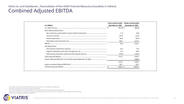### Viatris Inc. and Subsidiaries | Reconciliation of Non-GAAP Financial Measures (Unaudited; in millions) Combined Adjusted EBITDA

| (In millions)               | December 31, 2020 | Three months ended  Twelve months ended<br><b>December 31, 2020</b> |
|-----------------------------|-------------------|---------------------------------------------------------------------|
|                             | $(915.8)$ \$      | (669.9)                                                             |
| Add / (deduct) adjustments: |                   |                                                                     |
|                             | 11.0              | 48.4                                                                |
|                             | (97.7)            | (51.3)                                                              |
|                             | 144.4             | 497.8                                                               |
|                             | 953.1             | 2,216.1                                                             |
|                             | 95.0              | 2,041.1                                                             |
| Add adjustments:            |                   |                                                                     |
|                             | 29.4              | 79.2                                                                |
|                             | 71.3              | 107.8                                                               |
|                             | 819.4             | 1,426.0                                                             |
|                             | 1,015.1           | 3,654.1                                                             |
|                             |                   | 2,806.0                                                             |
|                             | 1.015.1           | 6,460.1                                                             |
|                             | 347.1             | 347.1                                                               |
|                             | $1,362.2$ \$      | 6,807.2                                                             |

(a) Includes clean energy investment financing and accretion of contingent consideration.

(b) Includes purchase accounting related amortization.

(c) See items detailed in the Reconciliation of U.S. GAAP Net Earnings to Adjusted Net Earnings.

(d) Amount represents an estimate of Upjohn's Adjusted EBITDA for the period from October 1, 2020 through the closing of the

Combination, including estimated adjustments.

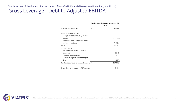|                                                             | Twelve Months Ended December 31, |                 |
|-------------------------------------------------------------|----------------------------------|-----------------|
| Viatris adjusted EBITDA                                     | \$                               | 2021<br>6,426.1 |
| Reported debt balances:                                     |                                  |                 |
| Long-term debt, including current                           |                                  |                 |
| portion<br>Short-term borrowings and other                  |                                  | 21,577.4        |
| current obligations                                         |                                  | 1,493.0         |
| Total                                                       |                                  | 23,070.4        |
| Add / (deduct):<br>Net premiums on various debt             |                                  |                 |
| issuances                                                   |                                  | (651.6)         |
| Deferred financing fees<br>Fair value adjustment for hedged |                                  | 42.4            |
| debt                                                        |                                  | (16.3)          |
| Total debt at notional amounts                              |                                  | 22,444.9        |
| Gross debt to adjusted EBITDA                               |                                  | 3.49x           |